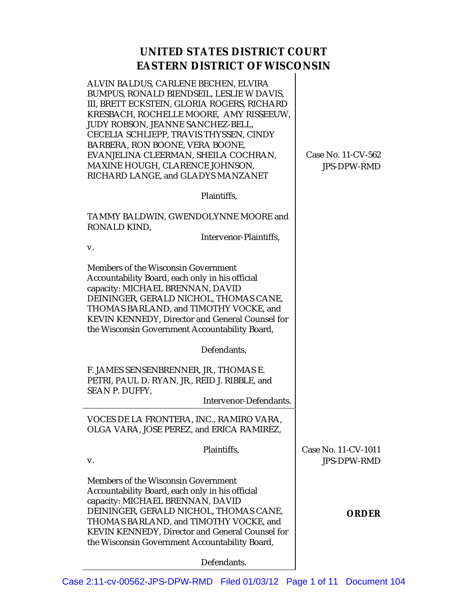## **UNITED STATES DISTRICT COURT EASTERN DISTRICT OF WISCONSIN**

ALVIN BALDUS, CARLENE BECHEN, ELVIRA BUMPUS, RONALD BIENDSEIL, LESLIE W DAVIS, III, BRETT ECKSTEIN, GLORIA ROGERS, RICHARD KRESBACH, ROCHELLE MOORE, AMY RISSEEUW, JUDY ROBSON, JEANNE SANCHEZ-BELL, CECELIA SCHLIEPP, TRAVIS THYSSEN, CINDY BARBERA, RON BOONE, VERA BOONE, EVANJELINA CLEERMAN, SHEILA COCHRAN, MAXINE HOUGH, CLARENCE JOHNSON, RICHARD LANGE, and GLADYS MANZANET

Plaintiffs,

TAMMY BALDWIN, GWENDOLYNNE MOORE and RONALD KIND,

Intervenor-Plaintiffs,

Case No. 11-CV-562 JPS-DPW-RMD

v.

Members of the Wisconsin Government Accountability Board, each only in his official capacity: MICHAEL BRENNAN, DAVID DEININGER, GERALD NICHOL, THOMAS CANE, THOMAS BARLAND, and TIMOTHY VOCKE, and KEVIN KENNEDY, Director and General Counsel for the Wisconsin Government Accountability Board,

Defendants,

F. JAMES SENSENBRENNER, JR., THOMAS E. PETRI, PAUL D. RYAN, JR., REID J. RIBBLE, and SEAN P. DUFFY,

Intervenor-Defendants.

VOCES DE LA FRONTERA, INC., RAMIRO VARA, OLGA VARA, JOSE PEREZ, and ERICA RAMIREZ,

 Plaintiffs, v. Members of the Wisconsin Government Accountability Board, each only in his official capacity: MICHAEL BRENNAN, DAVID DEININGER, GERALD NICHOL, THOMAS CANE, THOMAS BARLAND, and TIMOTHY VOCKE, and KEVIN KENNEDY, Director and General Counsel for the Wisconsin Government Accountability Board, Case No. 11-CV-1011 JPS-DPW-RMD **ORDER**

**Defendants**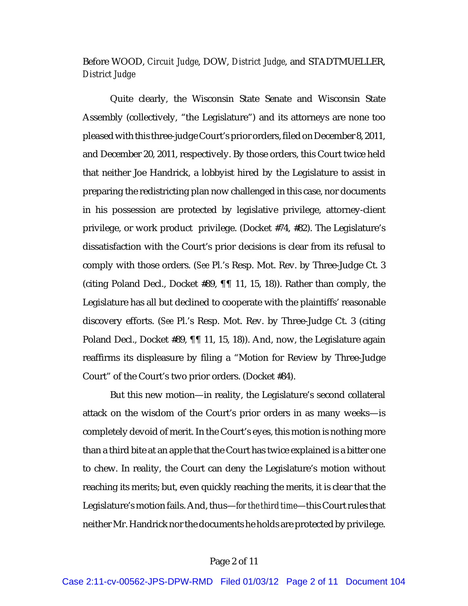## Before WOOD, *Circuit Judge*, DOW, *District Judge*, and STADTMUELLER, *District Judge*

Quite clearly, the Wisconsin State Senate and Wisconsin State Assembly (collectively, "the Legislature") and its attorneys are none too pleased with this three-judge Court's prior orders, filed on December 8, 2011, and December 20, 2011, respectively. By those orders, this Court twice held that neither Joe Handrick, a lobbyist hired by the Legislature to assist in preparing the redistricting plan now challenged in this case, nor documents in his possession are protected by legislative privilege, attorney-client privilege, or work product privilege. (Docket #74, #82). The Legislature's dissatisfaction with the Court's prior decisions is clear from its refusal to comply with those orders. (*See* Pl.'s Resp. Mot. Rev. by Three-Judge Ct. 3 (citing Poland Decl., Docket #89, ¶¶ 11, 15, 18)). Rather than comply, the Legislature has all but declined to cooperate with the plaintiffs' reasonable discovery efforts. (*See* Pl.'s Resp. Mot. Rev. by Three-Judge Ct. 3 (citing Poland Decl., Docket #89, ¶¶ 11, 15, 18)). And, now, the Legislature again reaffirms its displeasure by filing a "Motion for Review by Three-Judge Court" of the Court's two prior orders. (Docket #84).

But this new motion—in reality, the Legislature's second collateral attack on the wisdom of the Court's prior orders in as many weeks—is completely devoid of merit. In the Court's eyes, this motion is nothing more than a third bite at an apple that the Court has twice explained is a bitter one to chew. In reality, the Court can deny the Legislature's motion without reaching its merits; but, even quickly reaching the merits, it is clear that the Legislature's motion fails. And, thus—*for the third time*—this Court rules that neither Mr. Handrick nor the documents he holds are protected by privilege.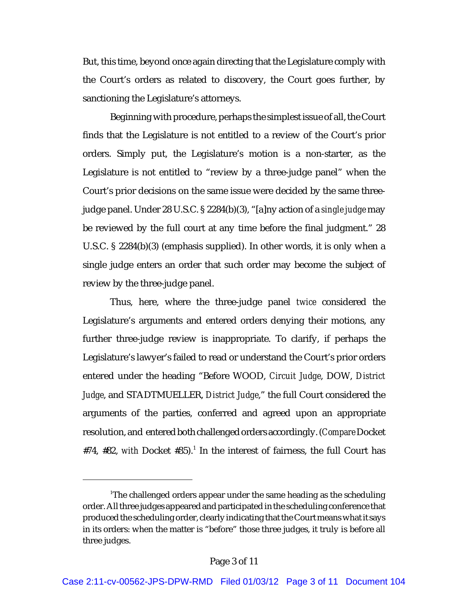But, this time, beyond once again directing that the Legislature comply with the Court's orders as related to discovery, the Court goes further, by sanctioning the Legislature's attorneys.

Beginning with procedure, perhaps the simplest issue of all, the Court finds that the Legislature is not entitled to a review of the Court's prior orders. Simply put, the Legislature's motion is a non-starter, as the Legislature is not entitled to "review by a three-judge panel" when the Court's prior decisions on the same issue were decided by the same threejudge panel. Under 28 U.S.C. § 2284(b)(3), "[a]ny action of a *single judge* may be reviewed by the full court at any time before the final judgment." 28 U.S.C. § 2284(b)(3) (emphasis supplied). In other words, it is only when a single judge enters an order that such order may become the subject of review by the three-judge panel.

Thus, here, where the three-judge panel *twice* considered the Legislature's arguments and entered orders denying their motions, any further three-judge review is inappropriate. To clarify, if perhaps the Legislature's lawyer's failed to read or understand the Court's prior orders entered under the heading "Before WOOD, *Circuit Judge*, DOW, *District Judge*, and STADTMUELLER, *District Judge*," the full Court considered the arguments of the parties, conferred and agreed upon an appropriate resolution, and entered both challenged orders accordingly. (*Compare* Docket  $#74$ ,  $#82$ , *with* Docket  $#35$ ).<sup>1</sup> In the interest of fairness, the full Court has

<sup>&</sup>lt;sup>1</sup>The challenged orders appear under the same heading as the scheduling order. All three judges appeared and participated in the scheduling conference that produced the scheduling order, clearly indicating that the Court means what it says in its orders: when the matter is "before" those three judges, it truly is before all three judges.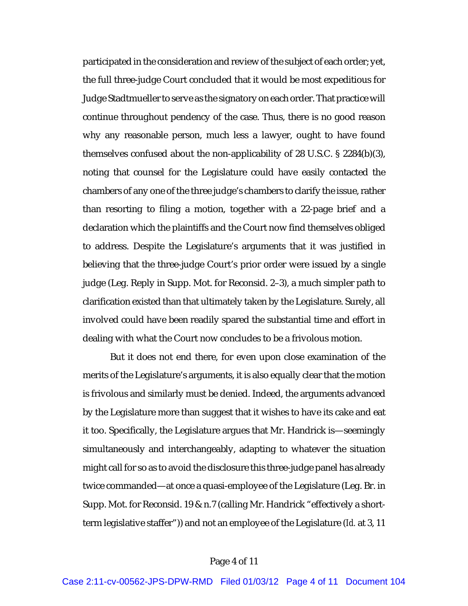participated in the consideration and review of the subject of each order; yet, the full three-judge Court concluded that it would be most expeditious for Judge Stadtmueller to serve as the signatory on each order. That practice will continue throughout pendency of the case. Thus, there is no good reason why any reasonable person, much less a lawyer, ought to have found themselves confused about the non-applicability of 28 U.S.C. § 2284(b)(3), noting that counsel for the Legislature could have easily contacted the chambers of any one of the three judge's chambers to clarify the issue, rather than resorting to filing a motion, together with a 22-page brief and a declaration which the plaintiffs and the Court now find themselves obliged to address. Despite the Legislature's arguments that it was justified in believing that the three-judge Court's prior order were issued by a single judge (Leg. Reply in Supp. Mot. for Reconsid. 2–3), a much simpler path to clarification existed than that ultimately taken by the Legislature. Surely, all involved could have been readily spared the substantial time and effort in dealing with what the Court now concludes to be a frivolous motion.

But it does not end there, for even upon close examination of the merits of the Legislature's arguments, it is also equally clear that the motion is frivolous and similarly must be denied. Indeed, the arguments advanced by the Legislature more than suggest that it wishes to have its cake and eat it too. Specifically, the Legislature argues that Mr. Handrick is—seemingly simultaneously and interchangeably, adapting to whatever the situation might call for so as to avoid the disclosure this three-judge panel has already twice commanded—at once a quasi-employee of the Legislature (Leg. Br. in Supp. Mot. for Reconsid. 19 & n.7 (calling Mr. Handrick "effectively a shortterm legislative staffer")) and not an employee of the Legislature (*Id.* at 3, 11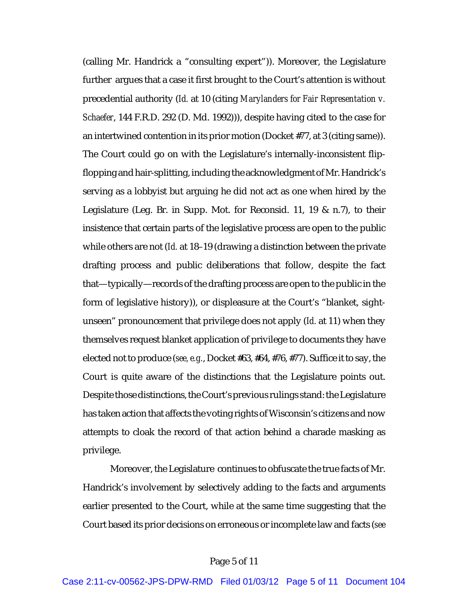(calling Mr. Handrick a "consulting expert")). Moreover, the Legislature further argues that a case it first brought to the Court's attention is without precedential authority (*Id.* at 10 (citing *Marylanders for Fair Representation v. Schaefer*, 144 F.R.D. 292 (D. Md. 1992))), despite having cited to the case for an intertwined contention in its prior motion (Docket #77, at 3 (citing same)). The Court could go on with the Legislature's internally-inconsistent flipflopping and hair-splitting, including the acknowledgment of Mr. Handrick's serving as a lobbyist but arguing he did not act as one when hired by the Legislature (Leg. Br. in Supp. Mot. for Reconsid. 11, 19 & n.7), to their insistence that certain parts of the legislative process are open to the public while others are not (*Id.* at 18–19 (drawing a distinction between the private drafting process and public deliberations that follow, despite the fact that—typically—records of the drafting process are open to the public in the form of legislative history)), or displeasure at the Court's "blanket, sightunseen" pronouncement that privilege does not apply (*Id.* at 11) when they themselves request blanket application of privilege to documents they have elected not to produce (*see, e.g.*, Docket #63, #64, #76, #77). Suffice it to say, the Court is quite aware of the distinctions that the Legislature points out. Despite those distinctions, the Court's previous rulings stand: the Legislature has taken action that affects the voting rights of Wisconsin's citizens and now attempts to cloak the record of that action behind a charade masking as privilege.

Moreover, the Legislature continues to obfuscate the true facts of Mr. Handrick's involvement by selectively adding to the facts and arguments earlier presented to the Court, while at the same time suggesting that the Court based its prior decisions on erroneous or incomplete law and facts (*see*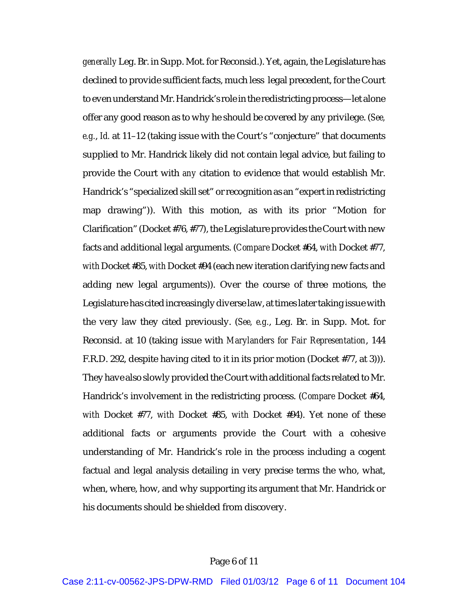*generally* Leg. Br. in Supp. Mot. for Reconsid.). Yet, again, the Legislature has declined to provide sufficient facts, much less legal precedent, for the Court to even understand Mr. Handrick's role in the redistricting process—let alone offer any good reason as to why he should be covered by any privilege. (*See, e.g.*, *Id.* at 11–12 (taking issue with the Court's "conjecture" that documents supplied to Mr. Handrick likely did not contain legal advice, but failing to provide the Court with *any* citation to evidence that would establish Mr. Handrick's "specialized skill set" or recognition as an "expert in redistricting map drawing")). With this motion, as with its prior "Motion for Clarification" (Docket #76, #77), the Legislature provides the Court with new facts and additional legal arguments. (*Compare* Docket #64, *with* Docket #77, *with* Docket #85, *with* Docket #94 (each new iteration clarifying new facts and adding new legal arguments)). Over the course of three motions, the Legislature has cited increasingly diverse law, at times later taking issue with the very law they cited previously. (*See, e.g.*, Leg. Br. in Supp. Mot. for Reconsid. at 10 (taking issue with *Marylanders for Fair Representation*, 144 F.R.D. 292, despite having cited to it in its prior motion (Docket #77, at 3))). They have also slowly provided the Court with additional facts related to Mr. Handrick's involvement in the redistricting process. (*Compare* Docket #64, *with* Docket #77, *with* Docket #85, *with* Docket #94). Yet none of these additional facts or arguments provide the Court with a cohesive understanding of Mr. Handrick's role in the process including a cogent factual and legal analysis detailing in very precise terms the who, what, when, where, how, and why supporting its argument that Mr. Handrick or his documents should be shielded from discovery.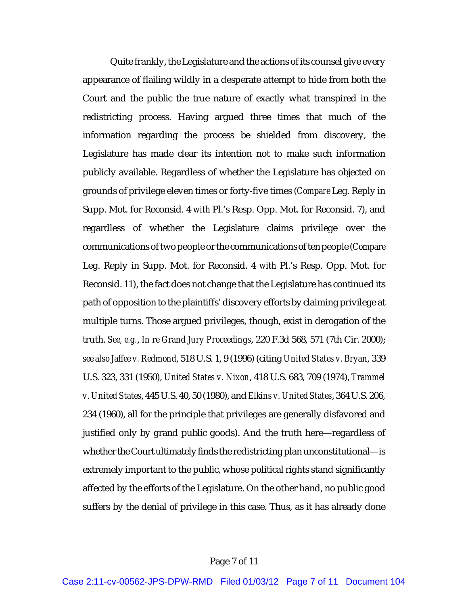Quite frankly, the Legislature and the actions of its counsel give every appearance of flailing wildly in a desperate attempt to hide from both the Court and the public the true nature of exactly what transpired in the redistricting process. Having argued three times that much of the information regarding the process be shielded from discovery, the Legislature has made clear its intention not to make such information publicly available. Regardless of whether the Legislature has objected on grounds of privilege eleven times or forty-five times (*Compare* Leg. Reply in Supp. Mot. for Reconsid. 4 *with* Pl.'s Resp. Opp. Mot. for Reconsid. 7), and regardless of whether the Legislature claims privilege over the communications of two people or the communications of ten people (*Compare* Leg. Reply in Supp. Mot. for Reconsid. 4 *with* Pl.'s Resp. Opp. Mot. for Reconsid. 11), the fact does not change that the Legislature has continued its path of opposition to the plaintiffs' discovery efforts by claiming privilege at multiple turns. Those argued privileges, though, exist in derogation of the truth. *See, e.g.*, *In re Grand Jury Proceedings*, 220 F.3d 568, 571 (7th Cir. 2000); *see also Jaffee v. Redmond*, 518 U.S. 1, 9 (1996) (citing *United States v. Bryan*, 339 U.S. 323, 331 (1950), *United States v. Nixon*, 418 U.S. 683, 709 (1974), *Trammel v. United States*, 445 U.S. 40, 50 (1980), and *Elkins v. United States*, 364 U.S. 206, 234 (1960), all for the principle that privileges are generally disfavored and justified only by grand public goods). And the truth here—regardless of whether the Court ultimately finds the redistricting plan unconstitutional—is extremely important to the public, whose political rights stand significantly affected by the efforts of the Legislature. On the other hand, no public good suffers by the denial of privilege in this case. Thus, as it has already done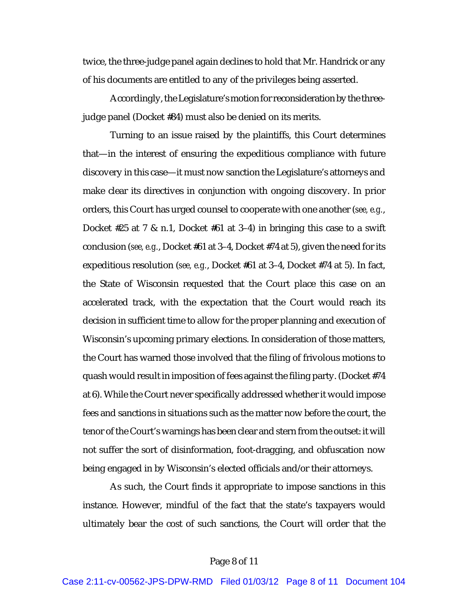twice, the three-judge panel again declines to hold that Mr. Handrick or any of his documents are entitled to any of the privileges being asserted.

Accordingly, the Legislature's motion for reconsideration by the threejudge panel (Docket #84) must also be denied on its merits.

Turning to an issue raised by the plaintiffs, this Court determines that—in the interest of ensuring the expeditious compliance with future discovery in this case—it must now sanction the Legislature's attorneys and make clear its directives in conjunction with ongoing discovery. In prior orders, this Court has urged counsel to cooperate with one another (*see, e.g.*, Docket #25 at 7 & n.1, Docket #61 at 3–4) in bringing this case to a swift conclusion (*see, e.g.*, Docket #61 at 3–4, Docket #74 at 5), given the need for its expeditious resolution (*see, e.g.*, Docket #61 at 3–4, Docket #74 at 5). In fact, the State of Wisconsin requested that the Court place this case on an accelerated track, with the expectation that the Court would reach its decision in sufficient time to allow for the proper planning and execution of Wisconsin's upcoming primary elections. In consideration of those matters, the Court has warned those involved that the filing of frivolous motions to quash would result in imposition of fees against the filing party. (Docket #74 at 6). While the Court never specifically addressed whether it would impose fees and sanctions in situations such as the matter now before the court, the tenor of the Court's warnings has been clear and stern from the outset: it will not suffer the sort of disinformation, foot-dragging, and obfuscation now being engaged in by Wisconsin's elected officials and/or their attorneys.

As such, the Court finds it appropriate to impose sanctions in this instance. However, mindful of the fact that the state's taxpayers would ultimately bear the cost of such sanctions, the Court will order that the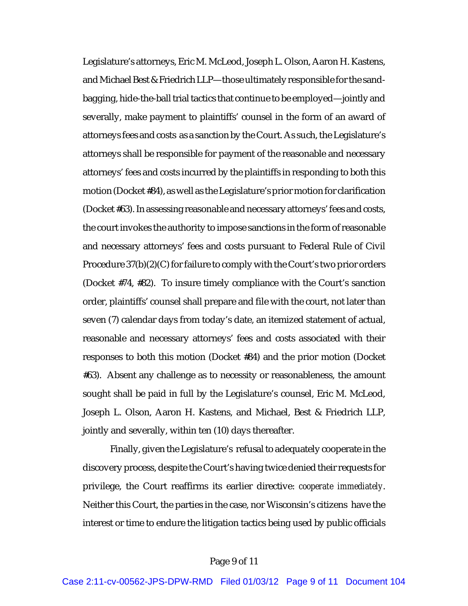Legislature's attorneys, Eric M. McLeod, Joseph L. Olson, Aaron H. Kastens, and Michael Best & Friedrich LLP—those ultimately responsible for the sandbagging, hide-the-ball trial tactics that continue to be employed—jointly and severally, make payment to plaintiffs' counsel in the form of an award of attorneys fees and costs as a sanction by the Court. As such, the Legislature's attorneys shall be responsible for payment of the reasonable and necessary attorneys' fees and costs incurred by the plaintiffs in responding to both this motion (Docket #84), as well as the Legislature's prior motion for clarification (Docket #63). In assessing reasonable and necessary attorneys' fees and costs, the court invokes the authority to impose sanctions in the form of reasonable and necessary attorneys' fees and costs pursuant to Federal Rule of Civil Procedure 37(b)(2)(C) for failure to comply with the Court's two prior orders (Docket #74, #82). To insure timely compliance with the Court's sanction order, plaintiffs' counsel shall prepare and file with the court, not later than seven (7) calendar days from today's date, an itemized statement of actual, reasonable and necessary attorneys' fees and costs associated with their responses to both this motion (Docket #84) and the prior motion (Docket #63). Absent any challenge as to necessity or reasonableness, the amount sought shall be paid in full by the Legislature's counsel, Eric M. McLeod, Joseph L. Olson, Aaron H. Kastens, and Michael, Best & Friedrich LLP, jointly and severally, within ten (10) days thereafter.

Finally, given the Legislature's refusal to adequately cooperate in the discovery process, despite the Court's having twice denied their requests for privilege, the Court reaffirms its earlier directive: *cooperate immediately*. Neither this Court, the parties in the case, nor Wisconsin's citizens have the interest or time to endure the litigation tactics being used by public officials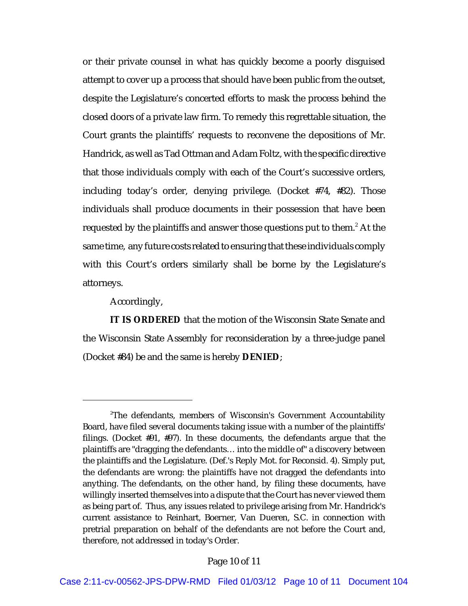or their private counsel in what has quickly become a poorly disguised attempt to cover up a process that should have been public from the outset, despite the Legislature's concerted efforts to mask the process behind the closed doors of a private law firm. To remedy this regrettable situation, the Court grants the plaintiffs' requests to reconvene the depositions of Mr. Handrick, as well as Tad Ottman and Adam Foltz, with the specific directive that those individuals comply with each of the Court's successive orders, including today's order, denying privilege. (Docket #74, #82). Those individuals shall produce documents in their possession that have been requested by the plaintiffs and answer those questions put to them.<sup>2</sup> At the same time, any future costs related to ensuring that these individuals comply with this Court's orders similarly shall be borne by the Legislature's attorneys.

Accordingly,

**IT IS ORDERED** that the motion of the Wisconsin State Senate and the Wisconsin State Assembly for reconsideration by a three-judge panel (Docket #84) be and the same is hereby **DENIED**;

 $2^{\circ}$ The defendants, members of Wisconsin's Government Accountability Board, have filed several documents taking issue with a number of the plaintiffs' filings. (Docket #91, #97). In these documents, the defendants argue that the plaintiffs are "dragging the defendants… into the middle of" a discovery between the plaintiffs and the Legislature. (Def.'s Reply Mot. for Reconsid. 4). Simply put, the defendants are wrong: the plaintiffs have not dragged the defendants into anything. The defendants, on the other hand, by filing these documents, have willingly inserted themselves into a dispute that the Court has never viewed them as being part of. Thus, any issues related to privilege arising from Mr. Handrick's current assistance to Reinhart, Boerner, Van Dueren, S.C. in connection with pretrial preparation on behalf of the defendants are not before the Court and, therefore, not addressed in today's Order.